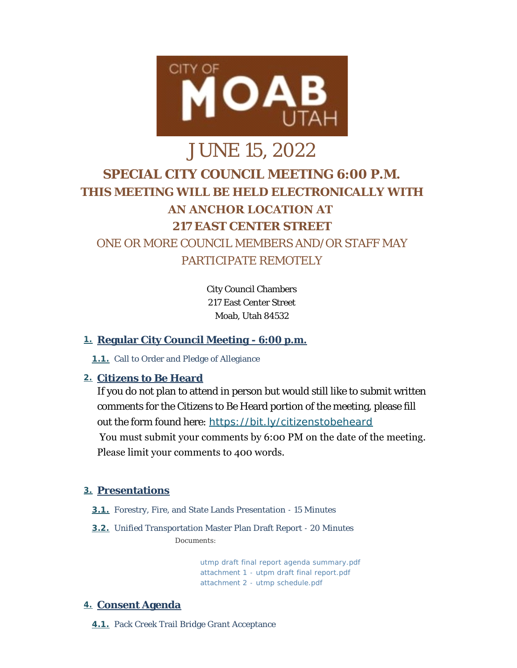

# JUNE 15, 2022 **SPECIAL CITY COUNCIL MEETING 6:00 P.M. THIS MEETING WILL BE HELD ELECTRONICALLY WITH AN ANCHOR LOCATION AT 217 EAST CENTER STREET** ONE OR MORE COUNCIL MEMBERS AND/OR STAFF MAY PARTICIPATE REMOTELY

City Council Chambers 217 East Center Street Moab, Utah 84532

## **Regular City Council Meeting - 6:00 p.m. 1.**

1.1. Call to Order and Pledge of Allegiance

## **Citizens to Be Heard 2.**

If you do not plan to attend in person but would still like to submit written comments for the Citizens to Be Heard portion of the meeting, please fill out the form found here: *<https://bit.ly/citizenstobeheard>* You must submit your comments by 6:00 PM on the date of the meeting. Please limit your comments to 400 words.

## **Presentations 3.**

- **3.1.** Forestry, Fire, and State Lands Presentation 15 Minutes
- Unified Transportation Master Plan Draft Report 20 Minutes **3.2.** *Documents:*

*[utmp draft final report agenda summary.pdf](https://moabcity.org/AgendaCenter/ViewFile/Item/4977?fileID=5970) [attachment 1 - utpm draft final report.pdf](https://moabcity.org/AgendaCenter/ViewFile/Item/4977?fileID=5969) [attachment 2 - utmp schedule.pdf](https://moabcity.org/AgendaCenter/ViewFile/Item/4977?fileID=5971)*

## **Consent Agenda 4.**

**4.1.** Pack Creek Trail Bridge Grant Acceptance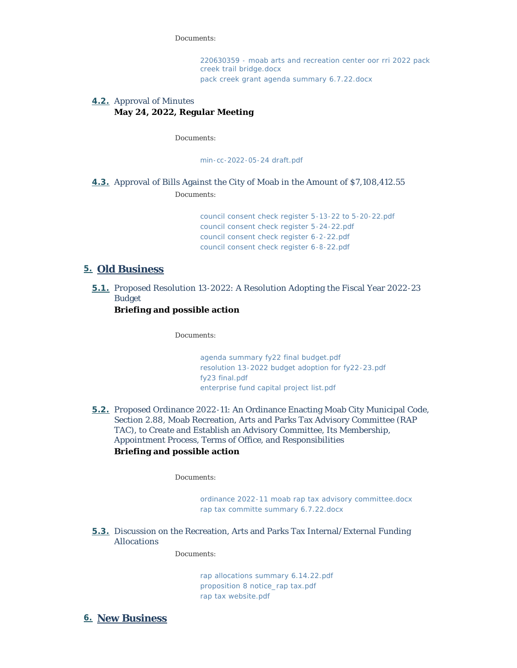*Documents:*

*[220630359 - moab arts and recreation center oor rri 2022 pack](https://moabcity.org/AgendaCenter/ViewFile/Item/4969?fileID=5946)  creek trail bridge.docx [pack creek grant agenda summary 6.7.22.docx](https://moabcity.org/AgendaCenter/ViewFile/Item/4969?fileID=5947)*

#### **4.2.** Approval of Minutes **May 24, 2022, Regular Meeting**

*Documents:*

*[min-cc-2022-05-24 draft.pdf](https://moabcity.org/AgendaCenter/ViewFile/Item/4976?fileID=5967)*

## **4.3.** Approval of Bills Against the City of Moab in the Amount of \$7,108,412.55

*Documents:*

*[council consent check register 5-13-22 to 5-20-22.pdf](https://moabcity.org/AgendaCenter/ViewFile/Item/4952?fileID=5976) [council consent check register 5-24-22.pdf](https://moabcity.org/AgendaCenter/ViewFile/Item/4952?fileID=5977) [council consent check register 6-2-22.pdf](https://moabcity.org/AgendaCenter/ViewFile/Item/4952?fileID=5978) [council consent check register 6-8-22.pdf](https://moabcity.org/AgendaCenter/ViewFile/Item/4952?fileID=5979)*

## **Old Business 5.**

**5.1.** Proposed Resolution 13-2022: A Resolution Adopting the Fiscal Year 2022-23 Budget

**Briefing and possible action**

*Documents:*

*[agenda summary fy22 final budget.pdf](https://moabcity.org/AgendaCenter/ViewFile/Item/4980?fileID=5972) [resolution 13-2022 budget adoption for fy22-23.pdf](https://moabcity.org/AgendaCenter/ViewFile/Item/4980?fileID=5973) [fy23 final.pdf](https://moabcity.org/AgendaCenter/ViewFile/Item/4980?fileID=5974) [enterprise fund capital project list.pdf](https://moabcity.org/AgendaCenter/ViewFile/Item/4980?fileID=5975)*

**5.2.** Proposed Ordinance 2022-11: An Ordinance Enacting Moab City Municipal Code, Section 2.88, Moab Recreation, Arts and Parks Tax Advisory Committee (RAP TAC), to Create and Establish an Advisory Committee, Its Membership, Appointment Process, Terms of Office, and Responsibilities **Briefing and possible action**

*Documents:*

*[ordinance 2022-11 moab rap tax advisory committee.docx](https://moabcity.org/AgendaCenter/ViewFile/Item/4970?fileID=5948) [rap tax committe summary 6.7.22.docx](https://moabcity.org/AgendaCenter/ViewFile/Item/4970?fileID=5949)*

Discussion on the Recreation, Arts and Parks Tax Internal/External Funding **5.3.** Allocations

*Documents:*

*[rap allocations summary 6.14.22.pdf](https://moabcity.org/AgendaCenter/ViewFile/Item/4975?fileID=5963) [proposition 8 notice\\_rap tax.pdf](https://moabcity.org/AgendaCenter/ViewFile/Item/4975?fileID=5964) [rap tax website.pdf](https://moabcity.org/AgendaCenter/ViewFile/Item/4975?fileID=5965)*

**New Business 6.**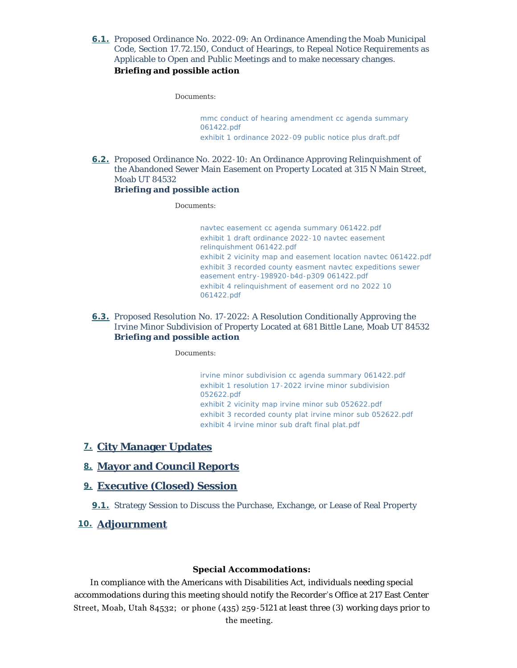6.1. Proposed Ordinance No. 2022-09: An Ordinance Amending the Moab Municipal Code, Section 17.72.150, Conduct of Hearings, to Repeal Notice Requirements as Applicable to Open and Public Meetings and to make necessary changes. **Briefing and possible action**

*Documents:*

*[mmc conduct of hearing amendment cc agenda summary](https://moabcity.org/AgendaCenter/ViewFile/Item/4973?fileID=5961)  061422.pdf [exhibit 1 ordinance 2022-09 public notice plus draft.pdf](https://moabcity.org/AgendaCenter/ViewFile/Item/4973?fileID=5962)*

6.2. Proposed Ordinance No. 2022-10: An Ordinance Approving Relinquishment of the Abandoned Sewer Main Easement on Property Located at 315 N Main Street, Moab UT 84532

#### **Briefing and possible action**

*Documents:*

*[navtec easement cc agenda summary 061422.pdf](https://moabcity.org/AgendaCenter/ViewFile/Item/4971?fileID=5951) [exhibit 1 draft ordinance 2022-10 navtec easement](https://moabcity.org/AgendaCenter/ViewFile/Item/4971?fileID=5952)  relinquishment 061422.pdf [exhibit 2 vicinity map and easement location navtec 061422.pdf](https://moabcity.org/AgendaCenter/ViewFile/Item/4971?fileID=5953) [exhibit 3 recorded county easment navtec expeditions sewer](https://moabcity.org/AgendaCenter/ViewFile/Item/4971?fileID=5954)  easement entry-198920-b4d-p309 061422.pdf [exhibit 4 relinquishment of easement ord no 2022 10](https://moabcity.org/AgendaCenter/ViewFile/Item/4971?fileID=5955)  061422.pdf*

6.3. Proposed Resolution No. 17-2022: A Resolution Conditionally Approving the Irvine Minor Subdivision of Property Located at 681 Bittle Lane, Moab UT 84532 **Briefing and possible action**

#### *Documents:*

*[irvine minor subdivision cc agenda summary 061422.pdf](https://moabcity.org/AgendaCenter/ViewFile/Item/4972?fileID=5956) [exhibit 1 resolution 17-2022 irvine minor subdivision](https://moabcity.org/AgendaCenter/ViewFile/Item/4972?fileID=5957)  052622.pdf [exhibit 2 vicinity map irvine minor sub 052622.pdf](https://moabcity.org/AgendaCenter/ViewFile/Item/4972?fileID=5958) [exhibit 3 recorded county plat irvine minor sub 052622.pdf](https://moabcity.org/AgendaCenter/ViewFile/Item/4972?fileID=5959) [exhibit 4 irvine minor sub draft final plat.pdf](https://moabcity.org/AgendaCenter/ViewFile/Item/4972?fileID=5960)*

#### **City Manager Updates 7.**

#### **Mayor and Council Reports 8.**

#### **Executive (Closed) Session 9.**

**9.1.** Strategy Session to Discuss the Purchase, Exchange, or Lease of Real Property

#### **Adjournment 10.**

#### **Special Accommodations:**

In compliance with the Americans with Disabilities Act, individuals needing special accommodations during this meeting should notify the Recorder 's Office at 217 East Center Street, Moab, Utah 84532; or phone (435) 259-5121 at least three (3) working days prior to the meeting.